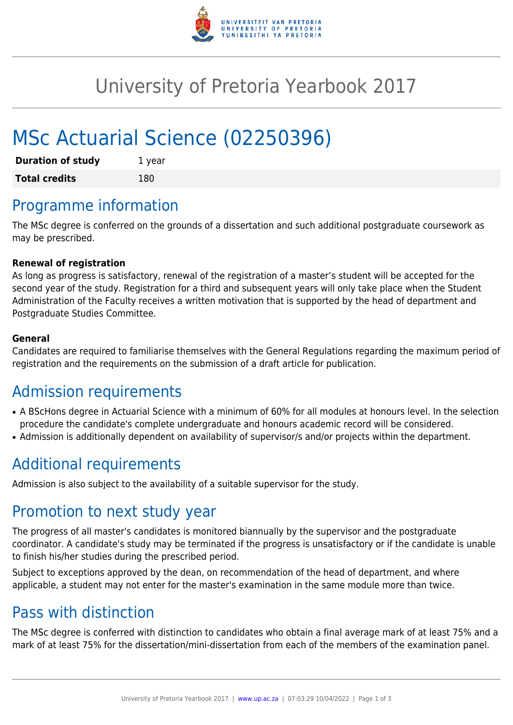

## University of Pretoria Yearbook 2017

# MSc Actuarial Science (02250396)

| <b>Duration of study</b> | 1 year |
|--------------------------|--------|
| <b>Total credits</b>     | 180    |

## Programme information

The MSc degree is conferred on the grounds of a dissertation and such additional postgraduate coursework as may be prescribed.

#### **Renewal of registration**

As long as progress is satisfactory, renewal of the registration of a master's student will be accepted for the second year of the study. Registration for a third and subsequent years will only take place when the Student Administration of the Faculty receives a written motivation that is supported by the head of department and Postgraduate Studies Committee.

#### **General**

Candidates are required to familiarise themselves with the General Regulations regarding the maximum period of registration and the requirements on the submission of a draft article for publication.

#### Admission requirements

- A BScHons degree in Actuarial Science with a minimum of 60% for all modules at honours level. In the selection procedure the candidate's complete undergraduate and honours academic record will be considered.
- Admission is additionally dependent on availability of supervisor/s and/or projects within the department.

## Additional requirements

Admission is also subject to the availability of a suitable supervisor for the study.

### Promotion to next study year

The progress of all master's candidates is monitored biannually by the supervisor and the postgraduate coordinator. A candidate's study may be terminated if the progress is unsatisfactory or if the candidate is unable to finish his/her studies during the prescribed period.

Subject to exceptions approved by the dean, on recommendation of the head of department, and where applicable, a student may not enter for the master's examination in the same module more than twice.

#### Pass with distinction

The MSc degree is conferred with distinction to candidates who obtain a final average mark of at least 75% and a mark of at least 75% for the dissertation/mini-dissertation from each of the members of the examination panel.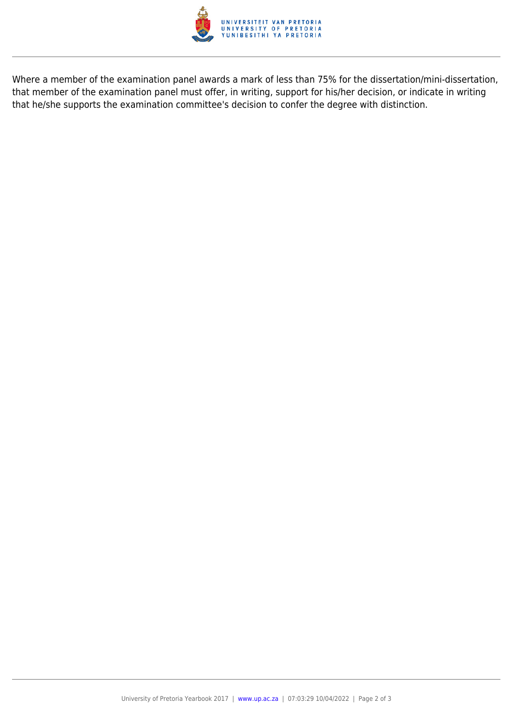

Where a member of the examination panel awards a mark of less than 75% for the dissertation/mini-dissertation, that member of the examination panel must offer, in writing, support for his/her decision, or indicate in writing that he/she supports the examination committee's decision to confer the degree with distinction.